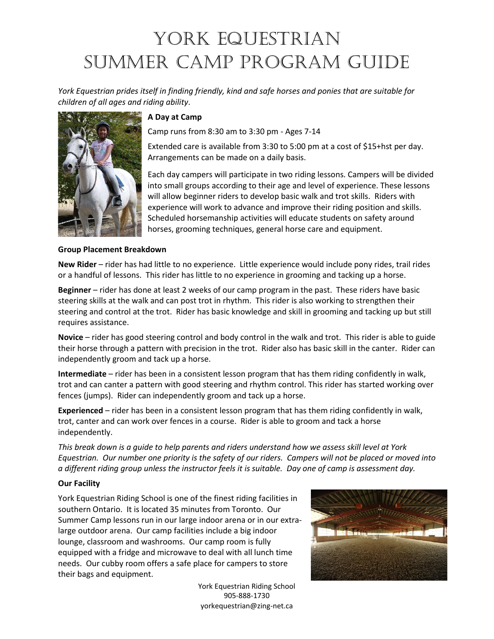## YORK EQUESTRIAN Summer Camp Program Guide

*York Equestrian prides itself in finding friendly, kind and safe horses and ponies that are suitable for children of all ages and riding ability*.



#### **A Day at Camp**

Camp runs from 8:30 am to 3:30 pm - Ages 7-14

Extended care is available from 3:30 to 5:00 pm at a cost of \$15+hst per day. Arrangements can be made on a daily basis.

Each day campers will participate in two riding lessons. Campers will be divided into small groups according to their age and level of experience. These lessons will allow beginner riders to develop basic walk and trot skills. Riders with experience will work to advance and improve their riding position and skills. Scheduled horsemanship activities will educate students on safety around horses, grooming techniques, general horse care and equipment.

#### **Group Placement Breakdown**

**New Rider** – rider has had little to no experience. Little experience would include pony rides, trail rides or a handful of lessons. This rider has little to no experience in grooming and tacking up a horse.

**Beginner** – rider has done at least 2 weeks of our camp program in the past. These riders have basic steering skills at the walk and can post trot in rhythm. This rider is also working to strengthen their steering and control at the trot. Rider has basic knowledge and skill in grooming and tacking up but still requires assistance.

**Novice** – rider has good steering control and body control in the walk and trot. This rider is able to guide their horse through a pattern with precision in the trot. Rider also has basic skill in the canter. Rider can independently groom and tack up a horse.

**Intermediate** – rider has been in a consistent lesson program that has them riding confidently in walk, trot and can canter a pattern with good steering and rhythm control. This rider has started working over fences (jumps). Rider can independently groom and tack up a horse.

**Experienced** – rider has been in a consistent lesson program that has them riding confidently in walk, trot, canter and can work over fences in a course. Rider is able to groom and tack a horse independently.

*This break down is a guide to help parents and riders understand how we assess skill level at York Equestrian. Our number one priority is the safety of our riders. Campers will not be placed or moved into a different riding group unless the instructor feels it is suitable. Day one of camp is assessment day.*

#### **Our Facility**

York Equestrian Riding School is one of the finest riding facilities in southern Ontario. It is located 35 minutes from Toronto. Our Summer Camp lessons run in our large indoor arena or in our extralarge outdoor arena. Our camp facilities include a big indoor lounge, classroom and washrooms. Our camp room is fully equipped with a fridge and microwave to deal with all lunch time needs. Our cubby room offers a safe place for campers to store their bags and equipment.

> York Equestrian Riding School 905-888-1730 yorkequestrian@zing-net.ca